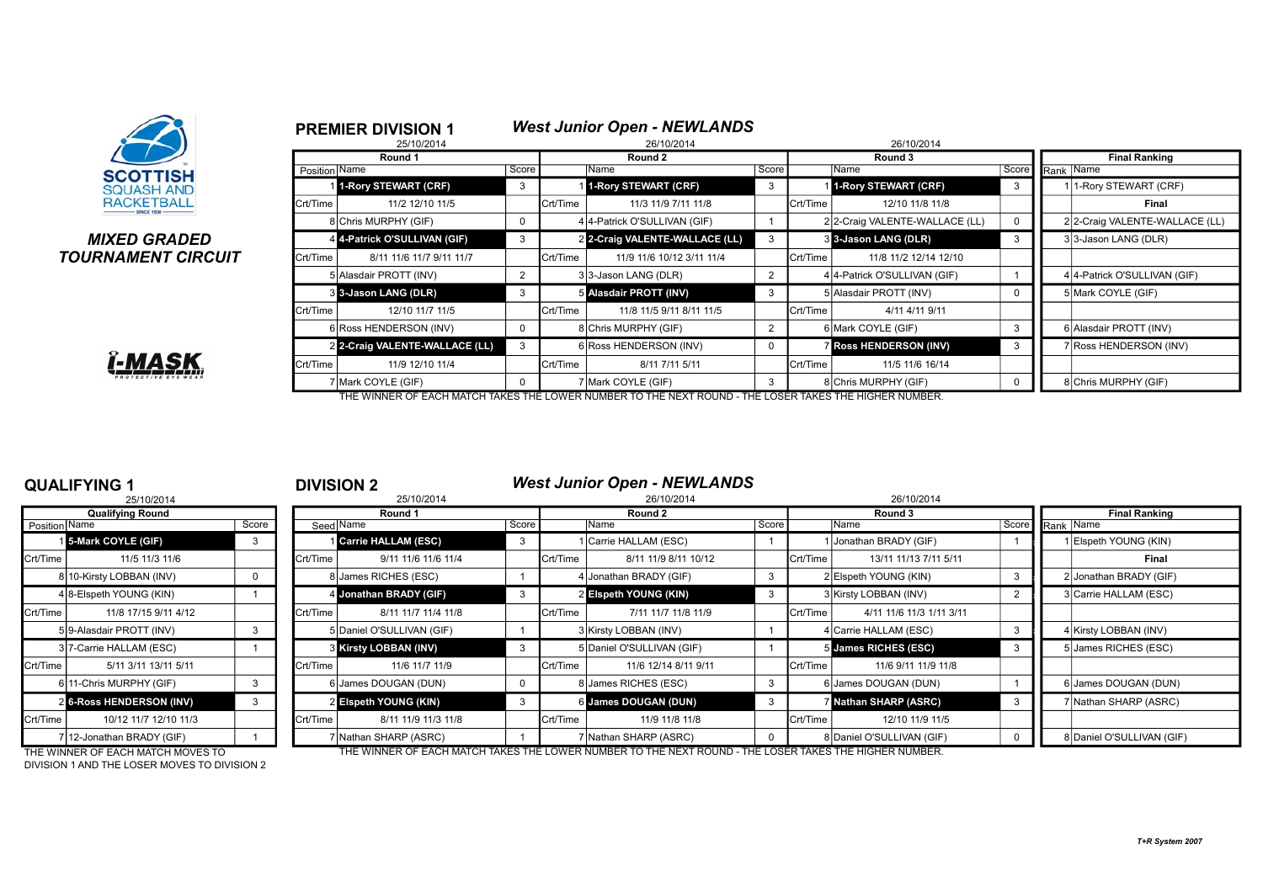

### **MIXED GRADED TOURNAMENT CIRCUIT**

|          | <b>PREMIER DIVISION 1</b>      |                |          | <b>West Junior Open - NEWLANDS</b> |                |          |                               |                      |                                |  |  |
|----------|--------------------------------|----------------|----------|------------------------------------|----------------|----------|-------------------------------|----------------------|--------------------------------|--|--|
|          | 25/10/2014                     |                |          | 26/10/2014                         |                |          | 26/10/2014                    |                      |                                |  |  |
|          | Round 1                        | Round 2        |          |                                    |                |          | Round 3                       | <b>Final Ranking</b> |                                |  |  |
|          | Position Name                  | Score          |          | lName                              | Score          |          | Name                          | Score                | Rank   Name                    |  |  |
|          | 1-Rory STEWART (CRF)           | 3              |          | 1-Rory STEWART (CRF)               | 3              |          | 1-Rory STEWART (CRF)          | 3                    | 1-Rory STEWART (CRF)           |  |  |
| Crt/Time | 11/2 12/10 11/5                |                | Crt/Time | 11/3 11/9 7/11 11/8                |                | Crt/Time | 12/10 11/8 11/8               |                      | Final                          |  |  |
|          | 8 Chris MURPHY (GIF)           | 0              |          | 4 4-Patrick O'SULLIVAN (GIF)       |                |          | 22-Craig VALENTE-WALLACE (LL) | 0                    | 2 2-Craig VALENTE-WALLACE (LL) |  |  |
|          | 4 4-Patrick O'SULLIVAN (GIF)   | 3              |          | 2 2-Craig VALENTE-WALLACE (LL)     | 3              |          | 3 3-Jason LANG (DLR)          | 3                    | 33-Jason LANG (DLR)            |  |  |
| Crt/Time | 8/11 11/6 11/7 9/11 11/7       |                | Crt/Time | 11/9 11/6 10/12 3/11 11/4          |                | Crt/Time | 11/8 11/2 12/14 12/10         |                      |                                |  |  |
|          | 5 Alasdair PROTT (INV)         | $\overline{2}$ |          | 33-Jason LANG (DLR)                | $\overline{2}$ |          | 4 4-Patrick O'SULLIVAN (GIF)  |                      | 4 4-Patrick O'SULLIVAN (GIF)   |  |  |
|          | 3 3-Jason LANG (DLR)           | 3              |          | 5 Alasdair PROTT (INV)             | 3              |          | 5 Allasdair PROTT (INV)       | 0                    | 5 Mark COYLE (GIF)             |  |  |
| Crt/Time | 12/10 11/7 11/5                |                | Crt/Time | 11/8 11/5 9/11 8/11 11/5           |                | Crt/Time | 4/11 4/11 9/11                |                      |                                |  |  |
|          | 6 Ross HENDERSON (INV)         | 0              |          | 8 Chris MURPHY (GIF)               | $\overline{2}$ |          | 6 Mark COYLE (GIF)            | 3                    | 6 Alasdair PROTT (INV)         |  |  |
|          | 2 2-Craig VALENTE-WALLACE (LL) | 3              |          | 6 Ross HENDERSON (INV)             | $\Omega$       |          | <b>Ross HENDERSON (INV)</b>   | 3                    | 7 Ross HENDERSON (INV)         |  |  |
| Crt/Time | 11/9 12/10 11/4                |                | Crt/Time | 8/11 7/11 5/11                     |                | Crt/Time | 11/5 11/6 16/14               |                      |                                |  |  |
|          | 7 Mark COYLE (GIF)             | U              |          | 7 Mark COYLE (GIF)                 | 3              |          | 8 Chris MURPHY (GIF)          | $\Omega$             | 8 Chris MURPHY (GIF)           |  |  |

### THE WINNER OF EACH MATCH TAKES THE LOWER NUMBER TO THE NEXT ROUND - THE LOSER TAKES THE HIGHER NUMBER.

|                 | 25/10/2014                    |       |
|-----------------|-------------------------------|-------|
|                 | <b>Qualifying Round</b>       |       |
| Position   Name |                               | Score |
| 11              | 5-Mark COYLE (GIF)            | 3     |
| Crt/Time        | 11/5 11/3 11/6                |       |
| 8               | 10-Kirsty LOBBAN (INV)        | 0     |
|                 | 4 8-Elspeth YOUNG (KIN)       | 1     |
| Crt/Time        | 11/8 17/15 9/11 4/12          |       |
|                 | 5 9-Alasdair PROTT (INV)      | 3     |
|                 | 3 7-Carrie HALLAM (ESC)       | 1     |
| Crt/Time        | 5/11 3/11 13/11 5/11          |       |
|                 | 611-Chris MURPHY (GIF)        | 3     |
| $\overline{2}$  | <b>6-Ross HENDERSON (INV)</b> | 3     |
| Crt/Time        | 10/12 11/7 12/10 11/3         |       |
|                 | 7 12-Jonathan BRADY (GIF)     |       |

### **QUALIFYING 1** <sup>1</sup> **DIVISION 2** *West Junior Open - NEWLANDS*

|               | י טיוו ווושר                      |       |          | PIVIVIVIT 4                  |       |          |                                                                                                          |       |          |                           |  |                 |                           |
|---------------|-----------------------------------|-------|----------|------------------------------|-------|----------|----------------------------------------------------------------------------------------------------------|-------|----------|---------------------------|--|-----------------|---------------------------|
|               | 25/10/2014                        |       |          | 25/10/2014                   |       |          | 26/10/2014                                                                                               |       |          | 26/10/2014                |  |                 |                           |
|               | <b>Qualifying Round</b>           |       | Round 1  |                              |       | Round 2  |                                                                                                          |       | Round 3  |                           |  |                 | <b>Final Ranking</b>      |
| Position Name |                                   | Score |          | Seed Name                    | Score |          | Name                                                                                                     | Score |          | Name                      |  | Score Rank Name |                           |
|               | 15-Mark COYLE (GIF)               |       |          | Carrie HALLAM (ESC)          |       |          | Carrie HALLAM (ESC)                                                                                      |       |          | 1 Jonathan BRADY (GIF)    |  |                 | Elspeth YOUNG (KIN)       |
| Crt/Time      | 11/5 11/3 11/6                    |       | Crt/Time | 9/11 11/6 11/6 11/4          |       | Crt/Time | 8/11 11/9 8/11 10/12                                                                                     |       | Crt/Time | 13/11 11/13 7/11 5/11     |  |                 | Final                     |
|               | 8 10-Kirsty LOBBAN (INV)          | 0     |          | 8 James RICHES (ESC)         |       |          | 4 Jonathan BRADY (GIF)                                                                                   |       |          | 2 Elspeth YOUNG (KIN)     |  |                 | 2 Jonathan BRADY (GIF)    |
|               | 4 8-Elspeth YOUNG (KIN)           |       |          | 4 Jonathan BRADY (GIF)       | -3    |          | 2 Elspeth YOUNG (KIN)                                                                                    |       |          | 3 Kirsty LOBBAN (INV)     |  |                 | 3 Carrie HALLAM (ESC)     |
| Crt/Time      | 11/8 17/15 9/11 4/12              |       | Crt/Time | 8/11 11/7 11/4 11/8          |       | Crt/Time | 7/11 11/7 11/8 11/9                                                                                      |       | Crt/Time | 4/11 11/6 11/3 1/11 3/11  |  |                 |                           |
|               | 5 9-Alasdair PROTT (INV)          |       |          | 5 Daniel O'SULLIVAN (GIF)    |       |          | 3 Kirsty LOBBAN (INV)                                                                                    |       |          | 4 Carrie HALLAM (ESC)     |  |                 | 4 Kirsty LOBBAN (INV)     |
|               | 3 7-Carrie HALLAM (ESC)           |       |          | <b>3 Kirsty LOBBAN (INV)</b> | -3    |          | 5 Daniel O'SULLIVAN (GIF)                                                                                |       |          | 5 James RICHES (ESC)      |  |                 | 5 James RICHES (ESC)      |
| Crt/Time      | 5/11 3/11 13/11 5/11              |       | Crt/Time | 11/6 11/7 11/9               |       | Crt/Time | 11/6 12/14 8/11 9/11                                                                                     |       | Crt/Time | 11/6 9/11 11/9 11/8       |  |                 |                           |
|               | 6 11-Chris MURPHY (GIF)           |       |          | 6 James DOUGAN (DUN)         |       |          | 8 James RICHES (ESC)                                                                                     |       |          | 6 James DOUGAN (DUN)      |  |                 | 6 James DOUGAN (DUN)      |
|               | <b>2 6-Ross HENDERSON (INV)</b>   |       |          | 2 Elspeth YOUNG (KIN)        |       |          | 6 James DOUGAN (DUN)                                                                                     |       |          | 7 Nathan SHARP (ASRC)     |  |                 | 7 Nathan SHARP (ASRC)     |
| Crt/Time      | 10/12 11/7 12/10 11/3             |       | Crt/Time | 8/11 11/9 11/3 11/8          |       | Crt/Time | 11/9 11/8 11/8                                                                                           |       | Crt/Time | 12/10 11/9 11/5           |  |                 |                           |
|               | 7 12-Jonathan BRADY (GIF)         |       |          | / Nathan SHARP (ASRC)        |       |          | 'İNathan SHARP (ASRC)                                                                                    |       |          | 8 Daniel O'SULLIVAN (GIF) |  |                 | 8 Daniel O'SULLIVAN (GIF) |
|               | THE WINNER OF FAQUIMATOU MOVED TO |       |          |                              |       |          | FUE WINNER OF EACH MATCH TAKES THE LOWER NI IMPER TO THE NEVT ROUND. THE LOSER TAKES THE HIGHER NI IMPER |       |          |                           |  |                 |                           |

DIVISION 1 AND THE LOSER MOVES TO DIVISION 2

THE WINNER OF EACH MATCH MOVES TO THE WINNER OF EACH MATCH TAKES THE LOWER NUMBER TO THE NEXT ROUND - THE LOSER TAKES THE HIGHER NUMBER.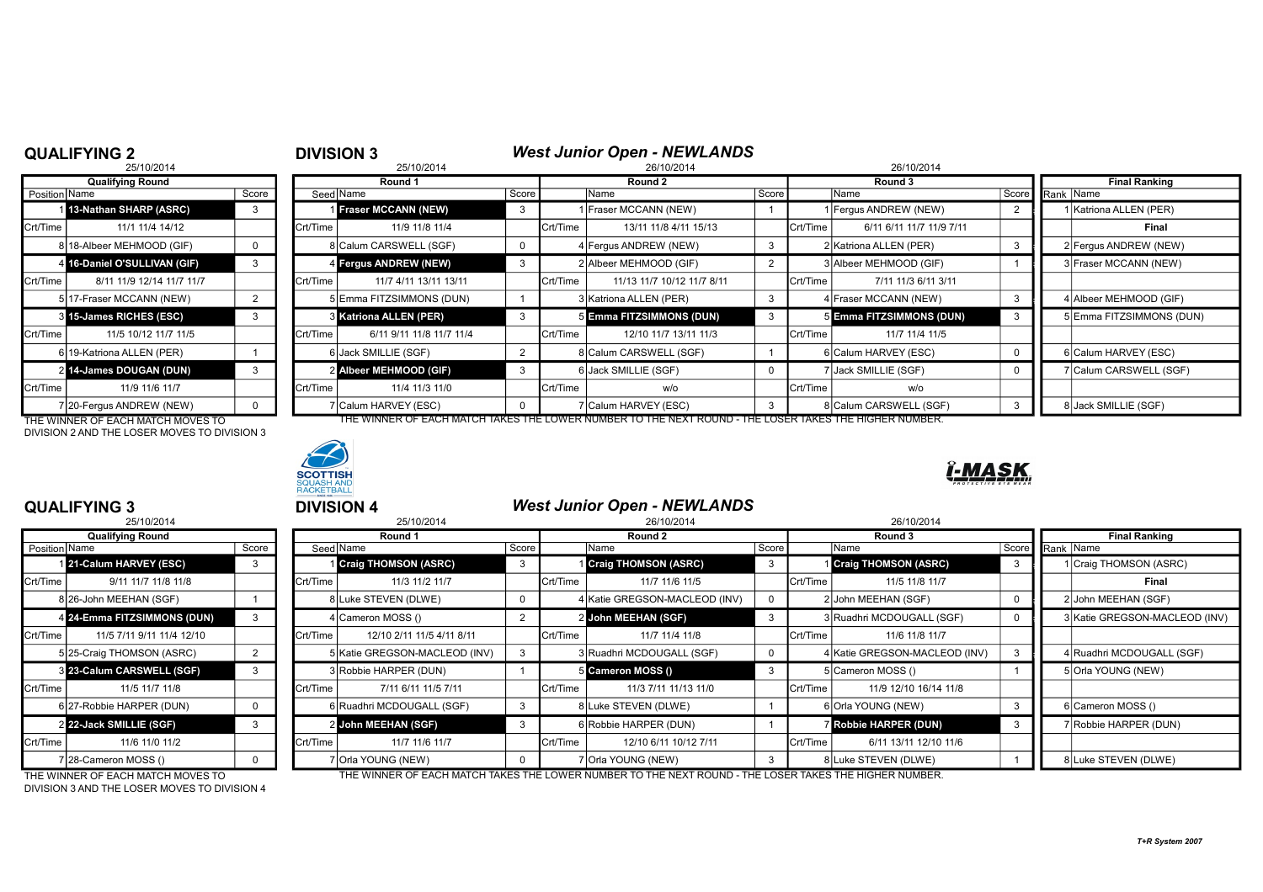## **QUALIFYING 2**<br><sup>25/10/2014</sup><br>26/10/2014<br>26/10/2014

|               | 25/10/2014                   |       |          | 25/10/2014               |          |          | 26/10/2014                 |       | 26/10/2014 |                          |  |                 |                        |
|---------------|------------------------------|-------|----------|--------------------------|----------|----------|----------------------------|-------|------------|--------------------------|--|-----------------|------------------------|
|               | <b>Qualifying Round</b>      |       |          | Round 1                  |          |          | Round 2                    |       |            | Round 3                  |  |                 | <b>Final Ranking</b>   |
| Position Name |                              | Score |          | Seed Name                | Score    |          | Name                       | Score |            | Name                     |  | Score Rank Name |                        |
|               | 1 13-Nathan SHARP (ASRC)     |       |          | Fraser MCCANN (NEW)      |          |          | Fraser MCCANN (NEW)        |       |            | 1 Fergus ANDREW (NEW)    |  |                 | Katriona ALLEN (PER)   |
| Crt/Time      | 11/1 11/4 14/12              |       | Crt/Time | 11/9 11/8 11/4           |          | Crt/Time | 13/11 11/8 4/11 15/13      |       | Crt/Time   | 6/11 6/11 11/7 11/9 7/11 |  |                 | Final                  |
|               | 8 18-Albeer MEHMOOD (GIF)    |       |          | 8 Calum CARSWELL (SGF)   | $\Omega$ |          | 4 Fergus ANDREW (NEW)      |       |            | 2 Katriona ALLEN (PER)   |  |                 | 2 Fergus ANDREW (NEW)  |
|               | 4 16-Daniel O'SULLIVAN (GIF) |       |          | 4 Fergus ANDREW (NEW)    |          |          | 2 Albeer MEHMOOD (GIF)     |       |            | 3 Albeer MEHMOOD (GIF)   |  |                 | 3 Fraser MCCANN (NEW)  |
| Crt/Time      | 8/11 11/9 12/14 11/7 11/7    |       | Crt/Time | 11/7 4/11 13/11 13/11    |          | Crt/Time | 11/13 11/7 10/12 11/7 8/11 |       | Crt/Time   | 7/11 11/3 6/11 3/11      |  |                 |                        |
|               | 5 17-Fraser MCCANN (NEW)     |       |          | 5 Emma FITZSIMMONS (DUN) |          |          | 3 Katriona ALLEN (PER)     | 3     |            | 4 Fraser MCCANN (NEW)    |  |                 | 4 Albeer MEHMOOD (GIF) |
|               | 3 15-James RICHES (ESC)      |       |          | 3 Katriona ALLEN (PER)   |          |          | 5 Emma FITZSIMMONS (DUN)   | 3     |            | 5 Emma FITZSIMMONS (DUN) |  |                 | 5 Emma FITZSIMMONS (D  |
| Crt/Time      | 11/5 10/12 11/7 11/5         |       | Crt/Time | 6/11 9/11 11/8 11/7 11/4 |          | Crt/Time | 12/10 11/7 13/11 11/3      |       | Crt/Time   | 11/7 11/4 11/5           |  |                 |                        |
|               | 6 19-Katriona ALLEN (PER)    |       |          | 6 Jack SMILLIE (SGF)     |          |          | 8 Calum CARSWELL (SGF)     |       |            | 6 Calum HARVEY (ESC)     |  |                 | 6 Calum HARVEY (ESC)   |
|               | 2 14-James DOUGAN (DUN)      |       |          | 2 Albeer MEHMOOD (GIF)   |          |          | 6 Jack SMILLIE (SGF)       | 0     |            | 7 Jack SMILLIE (SGF)     |  |                 | 7 Calum CARSWELL (SGF  |
| Crt/Time      | 11/9 11/6 11/7               |       | Crt/Time | 11/4 11/3 11/0           |          | Crt/Time | w/o                        |       | Crt/Time   | w/o                      |  |                 |                        |
|               | 7 20-Fergus ANDREW (NEW)     |       |          | 7 Calum HARVEY (ESC)     |          |          | 7 Calum HARVEY (ESC)       |       |            | 8 Calum CARSWELL (SGF)   |  |                 | 8 Jack SMILLIE (SGF)   |

THE WINNER OF EACH MATCH MOVES TO THE WINNER OF EACH MATCH TAKES THE LOWER NUMBER TO THE NEXT ROUND - THE LOSER TAKES THE HIGHER NUMBER. DIVISION 2 AND THE LOSER MOVES TO DIVISION 3



### ĭ-MASK

|                 | 23/10/201 <del>4</del>    |       |
|-----------------|---------------------------|-------|
|                 | <b>Qualifying Round</b>   |       |
| Position   Name |                           | Score |
| 1               | 21-Calum HARVEY (ESC)     | 3     |
| Crt/Time        | 9/11 11/7 11/8 11/8       |       |
|                 | 8 26-John MEEHAN (SGF)    |       |
| 4               | 24-Emma FITZSIMMONS (DUN) | 3     |
| Crt/Time        | 11/5 7/11 9/11 11/4 12/10 |       |
|                 | 5 25-Craig THOMSON (ASRC) | 2     |
|                 | 8 23-Calum CARSWELL (SGF) | 3     |
| Crt/Time        | 11/5 11/7 11/8            |       |
|                 | 6 27-Robbie HARPER (DUN)  | 0     |
| $\overline{2}$  | 22-Jack SMILLIE (SGF)     | 3     |
| Crt/Time        | 11/6 11/0 11/2            |       |
|                 | 7 28-Cameron MOSS ()      | n     |

|               | <b>QUALIFYING 3</b>               |          |          | <b>DIVISION 4</b>             | <b>West Junior Open - NEWLANDS</b> |          |                                                                                                        |   |          |                               |                               |
|---------------|-----------------------------------|----------|----------|-------------------------------|------------------------------------|----------|--------------------------------------------------------------------------------------------------------|---|----------|-------------------------------|-------------------------------|
|               | 25/10/2014                        |          |          | 25/10/2014                    |                                    |          | 26/10/2014                                                                                             |   |          | 26/10/2014                    |                               |
|               | <b>Qualifying Round</b>           |          | Round 1  |                               |                                    | Round 2  |                                                                                                        |   |          | Round 3                       | <b>Final Ranking</b>          |
| Position Name |                                   | Score    |          | Seed Name                     | Score                              |          | Score<br>Name                                                                                          |   |          | <b>Name</b>                   | Score Rank Name               |
|               | 21-Calum HARVEY (ESC)             | 3        |          | <b>1 Craig THOMSON (ASRC)</b> | -3                                 |          | <b>Craig THOMSON (ASRC)</b>                                                                            | 3 |          | <b>Craig THOMSON (ASRC)</b>   | Craig THOMSON (ASRC)          |
| Crt/Time      | 9/11 11/7 11/8 11/8               |          | Crt/Time | 11/3 11/2 11/7                |                                    | Crt/Time | 11/7 11/6 11/5                                                                                         |   | Crt/Time | 11/5 11/8 11/7                | Final                         |
|               | 8 26-John MEEHAN (SGF)            |          |          | 8 Luke STEVEN (DLWE)          |                                    |          | 4 Katie GREGSON-MACLEOD (INV)                                                                          |   |          | 2 John MEEHAN (SGF)           | 2 John MEEHAN (SGF)           |
|               | 4 24-Emma FITZSIMMONS (DUN)       | 3        |          | 4 Cameron MOSS ()             |                                    |          | 2 John MEEHAN (SGF)                                                                                    |   |          | 3 Ruadhri MCDOUGALL (SGF)     | 3 Katie GREGSON-MACLEOD (INV) |
| Crt/Time      | 11/5 7/11 9/11 11/4 12/10         |          | Crt/Time | 12/10 2/11 11/5 4/11 8/11     |                                    | Crt/Time | 11/7 11/4 11/8                                                                                         |   | Crt/Time | 11/6 11/8 11/7                |                               |
|               | 5 25-Craig THOMSON (ASRC)         |          |          | 5 Katie GREGSON-MACLEOD (INV) |                                    |          | 3 Ruadhri MCDOUGALL (SGF)                                                                              |   |          | 4 Katie GREGSON-MACLEOD (INV) | 4 Ruadhri MCDOUGALL (SGF)     |
|               | 3 23-Calum CARSWELL (SGF)         | 3        |          | 3 Robbie HARPER (DUN)         |                                    |          | 5 Cameron MOSS ()                                                                                      |   |          | 5 Cameron MOSS ()             | 5 Orla YOUNG (NEW)            |
| Crt/Time      | 11/5 11/7 11/8                    |          | Crt/Time | 7/11 6/11 11/5 7/11           |                                    | Crt/Time | 11/3 7/11 11/13 11/0                                                                                   |   | Crt/Time | 11/9 12/10 16/14 11/8         |                               |
|               | 6 27-Robbie HARPER (DUN)          | $\Omega$ |          | 6 Ruadhri MCDOUGALL (SGF)     |                                    |          | 8 Luke STEVEN (DLWE)                                                                                   |   |          | 6 Orla YOUNG (NEW)            | 6 Cameron MOSS ()             |
|               | 2 22-Jack SMILLIE (SGF)           | 3        |          | 2 John MEEHAN (SGF)           | -3                                 |          | 6 Robbie HARPER (DUN)                                                                                  |   |          | <b>Robbie HARPER (DUN)</b>    | Robbie HARPER (DUN)           |
| Crt/Time      | 11/6 11/0 11/2                    |          | Crt/Time | 11/7 11/6 11/7                |                                    | Crt/Time | 12/10 6/11 10/12 7/11                                                                                  |   | Crt/Time | 6/11 13/11 12/10 11/6         |                               |
|               | 7 28-Cameron MOSS ()              | $\Omega$ |          | 7 Orla YOUNG (NEW)            |                                    |          | 7 IOrla YOUNG (NEW)                                                                                    |   |          | 8Luke STEVEN (DLWE)           | 8 Luke STEVEN (DLWE)          |
|               | THE WINNER OF EACH MATCH MOVES TO |          |          |                               |                                    |          | THE WINNER OF FACH MATCH TAKES THE LOWER NUMBER TO THE NEXT ROUND - THE LOSER TAKES THE HIGHER NUMBER. |   |          |                               |                               |

THE WINNER OF EACH MATCH MOVES TO DIVISION 3 AND THE LOSER MOVES TO DIVISION 4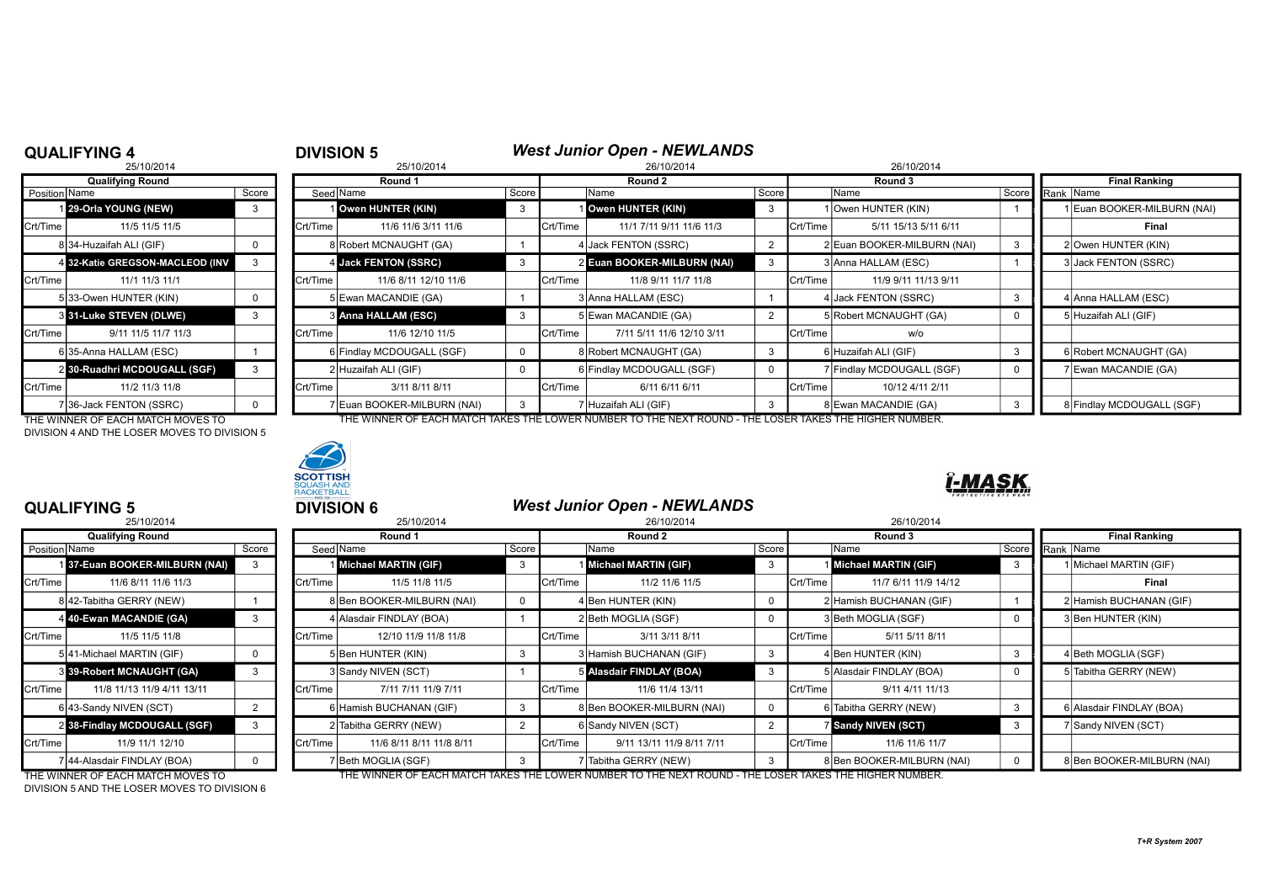## **QUALIFYING 4**<br>25/10/2014<br>26/10/2014

|               | 25/10/2014                      |       |          | 25/10/2014                  |       |          | 26/10/2014                  |       |          | 26/10/2014                  |       |                          |
|---------------|---------------------------------|-------|----------|-----------------------------|-------|----------|-----------------------------|-------|----------|-----------------------------|-------|--------------------------|
|               | <b>Qualifying Round</b>         |       |          | Round 1                     |       |          | Round 2                     |       |          | Round 3                     |       | <b>Final Ranking</b>     |
| Position Name |                                 | Score |          | Seed Name                   | Score |          | Name                        | Score |          | Name                        | Score | Rank Name                |
|               | 1 29-Orla YOUNG (NEW)           |       |          | Owen HUNTER (KIN)           | -3    |          | 1 Owen HUNTER (KIN)         | 3     |          | 1 Owen HUNTER (KIN)         |       | <b>Euan BOOKER-MILBU</b> |
| Crt/Time      | 11/5 11/5 11/5                  |       | Crt/Time | 11/6 11/6 3/11 11/6         |       | Crt/Time | 11/1 7/11 9/11 11/6 11/3    |       | Crt/Time | 5/11 15/13 5/11 6/11        |       | Final                    |
|               | 834-Huzaifah ALI (GIF)          |       |          | 8 Robert MCNAUGHT (GA)      |       |          | 4 Jack FENTON (SSRC)        |       |          | 2 Euan BOOKER-MILBURN (NAI) |       | 2 Owen HUNTER (KIN)      |
|               | 4 32-Katie GREGSON-MACLEOD (INV |       |          | 4 Jack FENTON (SSRC)        |       |          | 2 Euan BOOKER-MILBURN (NAI) | 3     |          | 3 Anna HALLAM (ESC)         |       | 3 Jack FENTON (SSRC)     |
| Crt/Time      | 11/1 11/3 11/1                  |       | Crt/Time | 11/6 8/11 12/10 11/6        |       | Crt/Time | 11/8 9/11 11/7 11/8         |       | Crt/Time | 11/9 9/11 11/13 9/11        |       |                          |
|               | 533-Owen HUNTER (KIN)           |       |          | 5 Ewan MACANDIE (GA)        |       |          | 3 Anna HALLAM (ESC)         |       |          | 4 Jack FENTON (SSRC)        |       | 4 Anna HALLAM (ESC)      |
|               | 3 31-Luke STEVEN (DLWE)         |       |          | <b>3 Anna HALLAM (ESC)</b>  |       |          | 5 Ewan MACANDIE (GA)        |       |          | 5 Robert MCNAUGHT (GA)      |       | 5 Huzaifah ALI (GIF)     |
| Crt/Time      | 9/11 11/5 11/7 11/3             |       | Crt/Time | 11/6 12/10 11/5             |       | Crt/Time | 7/11 5/11 11/6 12/10 3/11   |       | Crt/Time | w/o                         |       |                          |
|               | 6135-Anna HALLAM (ESC)          |       |          | 6 Findlay MCDOUGALL (SGF)   |       |          | 8 Robert MCNAUGHT (GA)      |       |          | 6 Huzaifah ALI (GIF)        |       | 6 Robert MCNAUGHT (0     |
|               | 2 30-Ruadhri MCDOUGALL (SGF)    | 3     |          | 2 Huzaifah ALI (GIF)        |       |          | 6 Findlay MCDOUGALL (SGF)   |       |          | 7 Findlay MCDOUGALL (SGF)   |       | 7 Ewan MACANDIE (GA      |
| Crt/Time      | 11/2 11/3 11/8                  |       | Crt/Time | 3/11 8/11 8/11              |       | Crt/Time | 6/11 6/11 6/11              |       | Crt/Time | 10/12 4/11 2/11             |       |                          |
|               | 736-Jack FENTON (SSRC)          |       |          | 7 Euan BOOKER-MILBURN (NAI) | 3     |          | 7 Huzaifah ALI (GIF)        |       |          | 8 Ewan MACANDIE (GA)        |       | 8 Findlay MCDOUGALL      |

DIVISION 4 AND THE LOSER MOVES TO DIVISION 5



### 1 **29-Orla YOUNG (NEW) 3 1 Owen HUNTER (KIN)** 3 1 Owen **HUNTER (KIN)** 1 Euan BOOKER-MILBURN (NAI) Crt/Time | 11/5 11/5 11/5 | | |Crt/Time | 11/6 11/6 3/11 11/6 | |Crt/Time | 11/1 7/11 9/11 11/6 11/3 | Crt/Time | 5/11 15/13 5/11 6/11 | | | | | | | | | 8 34-Huzaifah ALI (GIF) 0 8 Robert MCNAUGHT (GA) 1 4 Jack FENTON (SSRC) 2 2 Euan BOOKER-MILBURN (NAI) 3 ### 2 Owen HUNTER (KIN) 4 **Jack FENTON (SSRC)** 3 2 Euan BOOKER-MILBURN (NAI) 3 3 3 Anna HALLAM (ESC) 1 **1** 3 Jack FENTON (SSRC) Crt/Time 11/1 11/3 11/1 Crt/Time 11/6 8/11 12/10 11/6 Crt/Time 11/8 9/11 11/7 11/8 Crt/Time 11/9 9/11 11/13 9/11 5|33-Owen HUNTER (KIN) | 0 | | 5|Ewan MACANDIE (GA) | 1 | 3|Anna HALLAM (ESC) | 4 |Jack FENTON (SSRC) | 3 | 4 |Anna HALLAM (ESC) 3 **Anna HALLAM (ESC)** 3 3 5 Ewan MACANDIE (GA) 2 5 Robert MCNAUGHT (GA) 0 5 Huzaifah ALI (GIF) Crt/Time 9/11 11/5 11/7 11/3 Crt/Time 11/6 12/10 11/5 Crt/Time 7/11 5/11 11/6 12/10 3/11 Crt/Time w/o 6 35-Anna HALLAM (ESC) 1 6 Findlay MCDOUGALL (SGF) 0 8 Robert MCNAUGHT (GA) 3 6 Huzaifah ALI (GIF) 3 6 Robert MCNAUGHT (GA) 2 | Huzaifah ALI (GIF)  $\begin{vmatrix} 0 & 1 \\ 0 & 1 \end{vmatrix}$  6 | Findlay MCDOUGALL (SGF)  $\begin{vmatrix} 0 & 1 \\ 0 & 1 \end{vmatrix}$  7 | Findlay MCDOUGALL (SGF) 0 | 7 | Ewan MACANDIE (GA) Crt/Time 11/2 11/3 11/8 Crt/Time 3/11 8/11 8/11 Crt/Time 6/11 6/11 6/11 Crt/Time 10/12 4/11 2/11 7 Euan BOOKER-MILBURN (NAI) 3 7 Huzaifah ALI (GIF) 3 3 8 Blowan MACANDIE (GA) 3 8 8 Blowan MACANDIE (GA) 3 8 Blowan M

THE WINNER OF EACH MATCH MOVES TO THE WINNER OF EACH MATCH TAKES THE LOWER NUMBER TO THE NEXT ROUND - THE LOSER TAKES THE HIGHER NUMBER.



### **QUALIFYING 5** <sup>5</sup> **DIVISION 6** *West Junior Open - NEWLANDS*

## -MA

| --------------                   |       |          |                             |                                                                                                                                                                                           |            |                           |                                                                                                                                                                               |  |                                              |                                                                                                                                                                                                                    |                            |  |  |
|----------------------------------|-------|----------|-----------------------------|-------------------------------------------------------------------------------------------------------------------------------------------------------------------------------------------|------------|---------------------------|-------------------------------------------------------------------------------------------------------------------------------------------------------------------------------|--|----------------------------------------------|--------------------------------------------------------------------------------------------------------------------------------------------------------------------------------------------------------------------|----------------------------|--|--|
| 25/10/2014                       |       |          | 25/10/2014                  |                                                                                                                                                                                           | 26/10/2014 |                           |                                                                                                                                                                               |  | 26/10/2014                                   |                                                                                                                                                                                                                    |                            |  |  |
| <b>Qualifying Round</b>          |       | Round 1  |                             |                                                                                                                                                                                           |            | Round 2                   |                                                                                                                                                                               |  | Round 3                                      |                                                                                                                                                                                                                    | <b>Final Ranking</b>       |  |  |
| Position Name                    | Score |          |                             |                                                                                                                                                                                           |            | Name                      | Score I                                                                                                                                                                       |  | Name                                         | Score                                                                                                                                                                                                              | Rank Name                  |  |  |
| 37-Euan BOOKER-MILBURN (NAI)     |       |          | <b>Michael MARTIN (GIF)</b> |                                                                                                                                                                                           |            |                           |                                                                                                                                                                               |  |                                              |                                                                                                                                                                                                                    | Michael MARTIN (GIF)       |  |  |
| 11/6 8/11 11/6 11/3              |       | Crt/Time | 11/5 11/8 11/5              |                                                                                                                                                                                           | Crt/Time   | 11/2 11/6 11/5            |                                                                                                                                                                               |  | 11/7 6/11 11/9 14/12                         |                                                                                                                                                                                                                    | Final                      |  |  |
| 8 42-Tabitha GERRY (NEW)         |       |          |                             |                                                                                                                                                                                           |            |                           |                                                                                                                                                                               |  |                                              |                                                                                                                                                                                                                    | 2 Hamish BUCHANAN (GIF)    |  |  |
| 4 40-Ewan MACANDIE (GA)          |       |          |                             |                                                                                                                                                                                           |            |                           |                                                                                                                                                                               |  |                                              |                                                                                                                                                                                                                    | 3 Ben HUNTER (KIN)         |  |  |
| 11/5 11/5 11/8                   |       | Crt/Time | 12/10 11/9 11/8 11/8        |                                                                                                                                                                                           | Crt/Time   | 3/11 3/11 8/11            |                                                                                                                                                                               |  | 5/11 5/11 8/11                               |                                                                                                                                                                                                                    |                            |  |  |
| 5 41-Michael MARTIN (GIF)        |       |          |                             |                                                                                                                                                                                           |            |                           |                                                                                                                                                                               |  |                                              |                                                                                                                                                                                                                    | 4 Beth MOGLIA (SGF)        |  |  |
| <b>3 39-Robert MCNAUGHT (GA)</b> |       |          |                             |                                                                                                                                                                                           |            |                           |                                                                                                                                                                               |  |                                              |                                                                                                                                                                                                                    | 5 Tabitha GERRY (NEW)      |  |  |
| 11/8 11/13 11/9 4/11 13/11       |       | Crt/Time | 7/11 7/11 11/9 7/11         |                                                                                                                                                                                           | Crt/Time   | 11/6 11/4 13/11           |                                                                                                                                                                               |  | 9/11 4/11 11/13                              |                                                                                                                                                                                                                    |                            |  |  |
| 6 43-Sandy NIVEN (SCT)           |       |          |                             |                                                                                                                                                                                           |            |                           |                                                                                                                                                                               |  |                                              |                                                                                                                                                                                                                    | 6 Alasdair FINDLAY (BOA)   |  |  |
| 2 38-Findlay MCDOUGALL (SGF)     | 3     |          |                             |                                                                                                                                                                                           |            |                           |                                                                                                                                                                               |  |                                              |                                                                                                                                                                                                                    | 7 Sandy NIVEN (SCT)        |  |  |
| 11/9 11/1 12/10                  |       | Crt/Time | 11/6 8/11 8/11 11/8 8/11    |                                                                                                                                                                                           | Crt/Time   | 9/11 13/11 11/9 8/11 7/11 |                                                                                                                                                                               |  | 11/6 11/6 11/7                               |                                                                                                                                                                                                                    |                            |  |  |
| 7 44-Alasdair FINDLAY (BOA)      |       |          |                             |                                                                                                                                                                                           |            | 'Tabitha GERRY (NEW)      |                                                                                                                                                                               |  |                                              |                                                                                                                                                                                                                    | 8 Ben BOOKER-MILBURN (NAI) |  |  |
|                                  |       |          |                             | Seed Name<br>8 Ben BOOKER-MILBURN (NAI)<br>4 Alasdair FINDLAY (BOA)<br>5 Ben HUNTER (KIN)<br>3 Sandy NIVEN (SCT)<br>6 Hamish BUCHANAN (GIF)<br>2 Tabitha GERRY (NEW)<br>Beth MOGLIA (SGF) |            | Score                     | Michael MARTIN (GIF)<br>4 Ben HUNTER (KIN)<br>2 Beth MOGLIA (SGF)<br>3 Hamish BUCHANAN (GIF)<br>5 Alasdair FINDLAY (BOA)<br>8 Ben BOOKER-MILBURN (NAI)<br>6 Sandy NIVEN (SCT) |  | Crt/Time<br>Crt/Time<br>Crt/Time<br>Crt/Time | <b>Michael MARTIN (GIF)</b><br>2 Hamish BUCHANAN (GIF)<br>3 Beth MOGLIA (SGF)<br>4 Ben HUNTER (KIN)<br>5 Alasdair FINDLAY (BOA)<br>6 Tabitha GERRY (NEW)<br><b>Sandy NIVEN (SCT)</b><br>8 Ben BOOKER-MILBURN (NAI) |                            |  |  |

DIVISION 5 AND THE LOSER MOVES TO DIVISION 6

THE WINNER OF EACH MATCH MOVES TO THE WINNER OF EACH MATCH TAKES THE LOWER NUMBER TO THE NEXT ROUND - THE LOSER TAKES THE HIGHER NUMBER.